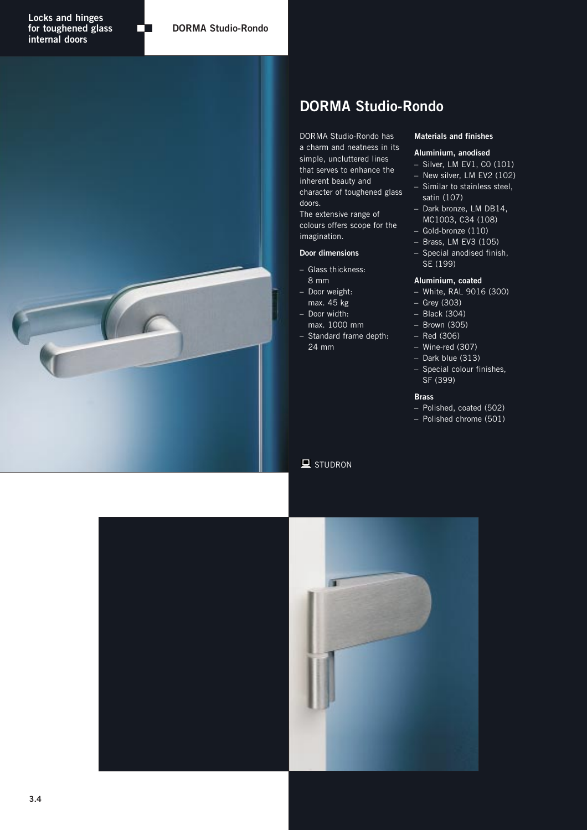

Œ

# **DORMA Studio-Rondo**

DORMA Studio-Rondo has a charm and neatness in its simple, uncluttered lines that serves to enhance the inherent beauty and character of toughened glass doors.

The extensive range of colours offers scope for the imagination.

### **Door dimensions**

- Glass thickness: 8 mm
- Door weight: max. 45 kg – Door width:
- max. 1000 mm
- Standard frame depth: 24 mm

## **Materials and finishes**

# **Aluminium, anodised**

- Silver, LM EV1, C0 (101)
- New silver, LM EV2 (102)
- Similar to stainless steel, satin (107)
- Dark bronze, LM DB14, MC1003, C34 (108)
- Gold-bronze (110)
- Brass, LM EV3 (105)
- Special anodised finish, SE (199)

#### **Aluminium, coated**

- White, RAL 9016 (300)
- Grey (303)
- Black (304)
- Brown (305)
- Red (306)
- Wine-red (307) – Dark blue (313)
- Special colour finishes, SF (399)

#### **Brass**

- Polished, coated (502)
- Polished chrome (501)

 $\blacksquare$  STUDRON